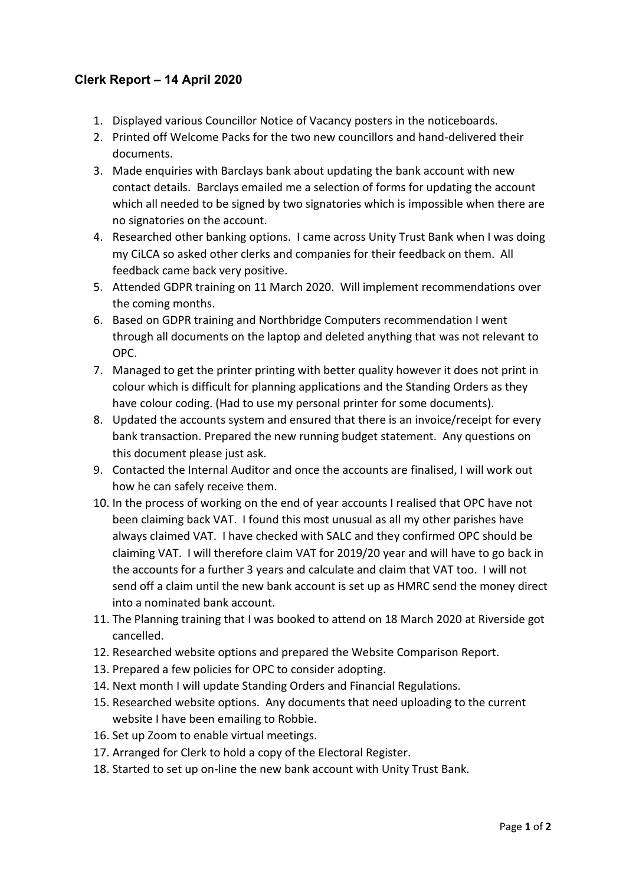## **Clerk Report – 14 April 2020**

- 1. Displayed various Councillor Notice of Vacancy posters in the noticeboards.
- 2. Printed off Welcome Packs for the two new councillors and hand-delivered their documents.
- 3. Made enquiries with Barclays bank about updating the bank account with new contact details. Barclays emailed me a selection of forms for updating the account which all needed to be signed by two signatories which is impossible when there are no signatories on the account.
- 4. Researched other banking options. I came across Unity Trust Bank when I was doing my CiLCA so asked other clerks and companies for their feedback on them. All feedback came back very positive.
- 5. Attended GDPR training on 11 March 2020. Will implement recommendations over the coming months.
- 6. Based on GDPR training and Northbridge Computers recommendation I went through all documents on the laptop and deleted anything that was not relevant to OPC.
- 7. Managed to get the printer printing with better quality however it does not print in colour which is difficult for planning applications and the Standing Orders as they have colour coding. (Had to use my personal printer for some documents).
- 8. Updated the accounts system and ensured that there is an invoice/receipt for every bank transaction. Prepared the new running budget statement. Any questions on this document please just ask.
- 9. Contacted the Internal Auditor and once the accounts are finalised, I will work out how he can safely receive them.
- 10. In the process of working on the end of year accounts I realised that OPC have not been claiming back VAT. I found this most unusual as all my other parishes have always claimed VAT. I have checked with SALC and they confirmed OPC should be claiming VAT. I will therefore claim VAT for 2019/20 year and will have to go back in the accounts for a further 3 years and calculate and claim that VAT too. I will not send off a claim until the new bank account is set up as HMRC send the money direct into a nominated bank account.
- 11. The Planning training that I was booked to attend on 18 March 2020 at Riverside got cancelled.
- 12. Researched website options and prepared the Website Comparison Report.
- 13. Prepared a few policies for OPC to consider adopting.
- 14. Next month I will update Standing Orders and Financial Regulations.
- 15. Researched website options. Any documents that need uploading to the current website I have been emailing to Robbie.
- 16. Set up Zoom to enable virtual meetings.
- 17. Arranged for Clerk to hold a copy of the Electoral Register.
- 18. Started to set up on-line the new bank account with Unity Trust Bank.